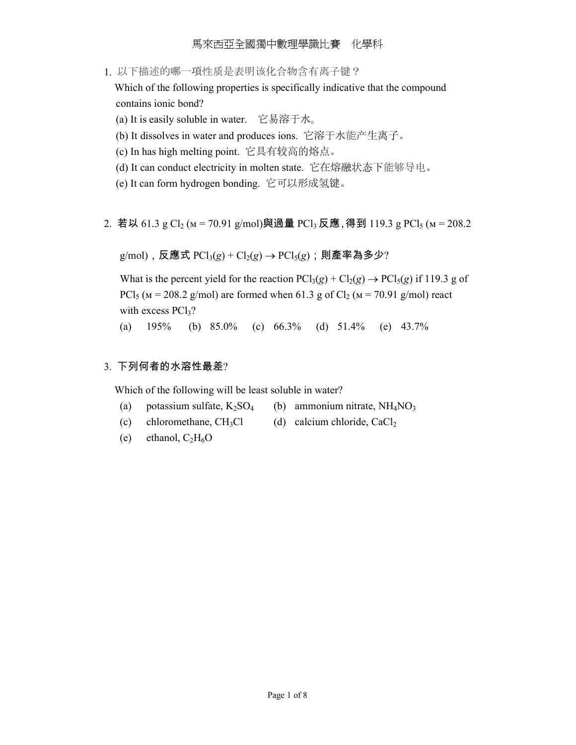1. 以下描述的哪一項性质是表明该化合物含有离子键?

 Which of the following properties is specifically indicative that the compound contains ionic bond?

(a) It is easily soluble in water. 它易溶于水。

- (b) It dissolves in water and produces ions. 它溶于水能产生离子。
- (c) In has high melting point. 它具有较高的熔点。
- (d) It can conduct electricity in molten state. 它在熔融状态下能够导电。
- (e) It can form hydrogen bonding. 它可以形成氢键。
- 2. 若以 61.3 g Cl<sub>2</sub> (м = 70.91 g/mol)與過量 PCl<sub>3</sub> 反應, 得到 119.3 g PCl<sub>5</sub> (м = 208.2)

 $g$ /mol), 反應式 PCl<sub>3</sub>( $g$ ) + Cl<sub>2</sub>( $g$ ) → PCl<sub>5</sub>( $g$ ); 則產率為多少?

What is the percent yield for the reaction  $PCl_3(g) + Cl_2(g) \rightarrow PCl_5(g)$  if 119.3 g of PCl<sub>5</sub> ( $M = 208.2$  g/mol) are formed when 61.3 g of Cl<sub>2</sub> ( $M = 70.91$  g/mol) react with excess  $PCl<sub>3</sub>$ ?

(a) 195% (b) 85.0% (c) 66.3% (d) 51.4% (e) 43.7%

# 3. 下列何者的水溶性最差?

Which of the following will be least soluble in water?

- (a) potassium sulfate,  $K_2SO_4$  (b) ammonium nitrate,  $NH_4NO_3$
- (c) chloromethane,  $CH_3Cl$  (d) calcium chloride,  $CaCl_2$
- (e) ethanol,  $C_2H_6O$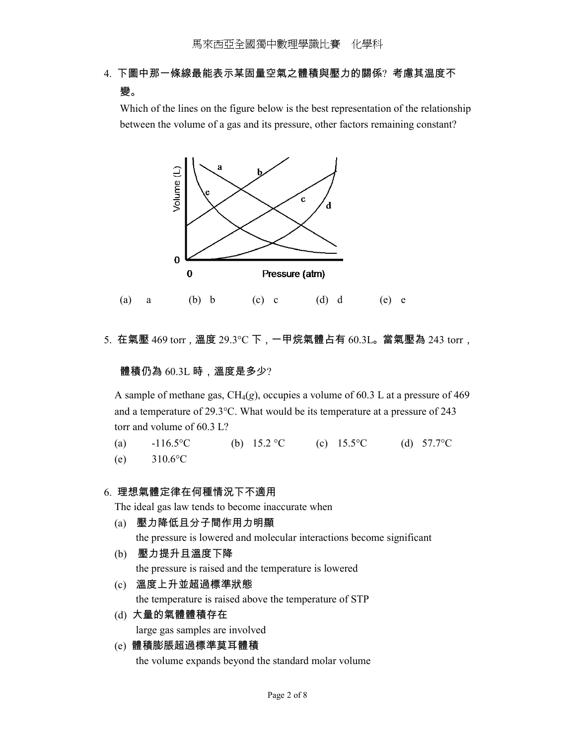# 4. 下圖中那一條線最能表示某固量空氣之體積與壓力的關係? 考慮其温度不 變。

Which of the lines on the figure below is the best representation of the relationship between the volume of a gas and its pressure, other factors remaining constant?



5. 在氣壓 469 torr,溫度 29.3°C 下,一甲烷氣體占有 60.3L。當氣壓為 243 torr,

體積仍為 60.3L 時,溫度是多少?

A sample of methane gas, CH4(*g*), occupies a volume of 60.3 L at a pressure of 469 and a temperature of 29.3°C. What would be its temperature at a pressure of 243 torr and volume of 60.3 L?

(a)  $-116.5$ °C (b)  $15.2$ °C (c)  $15.5$ °C (d)  $57.7$ °C (e) 310.6°C

# 6. 理想氣體定律在何種情況下不適用

The ideal gas law tends to become inaccurate when

- (a) 壓力降低且分子間作用力明顯 the pressure is lowered and molecular interactions become significant
- (b) 壓力提升且溫度下降 the pressure is raised and the temperature is lowered
- (c) 溫度上升並超過標準狀態 the temperature is raised above the temperature of STP
- (d) 大量的氣體體積存在

large gas samples are involved

(e) 體積膨脹超過標準莫耳體積 the volume expands beyond the standard molar volume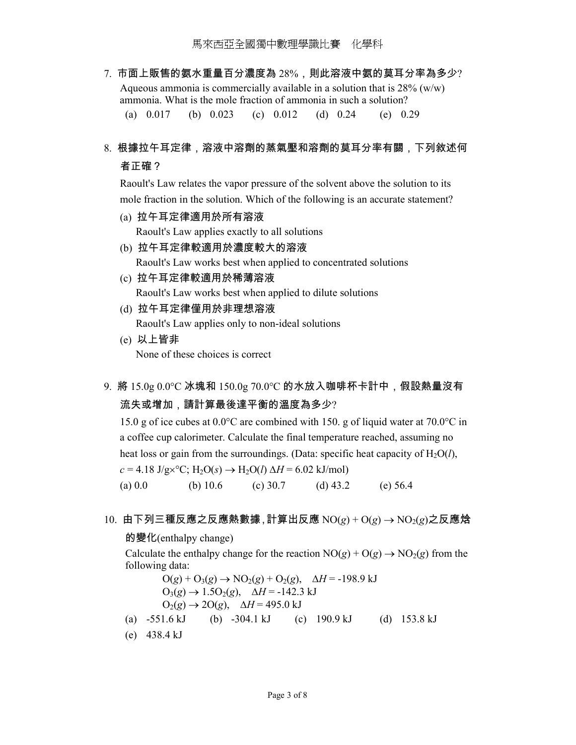7. 市面上販售的氨水重量百分濃度為 28%, 則此溶液中氨的莫耳分率為多少? Aqueous ammonia is commercially available in a solution that is  $28\%$  (w/w) ammonia. What is the mole fraction of ammonia in such a solution? (a) 0.017 (b) 0.023 (c) 0.012 (d) 0.24 (e) 0.29

# 8. 根據拉午耳定律,溶液中溶劑的蒸氣壓和溶劑的莫耳分率有關,下列敘述何 者正確?

 Raoult's Law relates the vapor pressure of the solvent above the solution to its mole fraction in the solution. Which of the following is an accurate statement?

- (a) 拉午耳定律適用於所有溶液 Raoult's Law applies exactly to all solutions
- (b) 拉午耳定律較適用於濃度較大的溶液 Raoult's Law works best when applied to concentrated solutions
- (c) 拉午耳定律較適用於稀薄溶液 Raoult's Law works best when applied to dilute solutions
- (d) 拉午耳定律僅用於非理想溶液 Raoult's Law applies only to non-ideal solutions
- (e) 以上皆非 None of these choices is correct
- 9. 將 15.0g 0.0°C 冰塊和 150.0g 70.0°C 的水放入咖啡杯卡計中,假設熱量沒有 流失或增加,請計算最後達平衡的溫度為多少?

15.0 g of ice cubes at  $0.0^{\circ}$ C are combined with 150. g of liquid water at 70.0 $^{\circ}$ C in a coffee cup calorimeter. Calculate the final temperature reached, assuming no heat loss or gain from the surroundings. (Data: specific heat capacity of  $H_2O(l)$ ,  $c = 4.18 \text{ J/g} \times {}^{\circ}\text{C}$ ; H<sub>2</sub>O(*s*)  $\rightarrow$  H<sub>2</sub>O(*l*)  $\Delta H = 6.02 \text{ kJ/mol}$ (a) 0.0 (b) 10.6 (c) 30.7 (d) 43.2 (e) 56.4

## 10. 由下列三種反應之反應熱數據,計算出反應 NO(*g*) + O(*g*) → NO2(*g*)之反應焓

#### 的變化(enthalpy change)

Calculate the enthalpy change for the reaction  $NO(g) + O(g) \rightarrow NO_2(g)$  from the following data:

 $O(g) + O_3(g)$  →  $NO_2(g) + O_2(g)$ ,  $\Delta H = -198.9$  kJ  $O_3(g)$  → 1.5 $O_2(g)$ ,  $\Delta H$  = -142.3 kJ  $O_2(g) \rightarrow 2O(g)$ ,  $\Delta H = 495.0$  kJ (a) -551.6 kJ (b) -304.1 kJ (c) 190.9 kJ (d) 153.8 kJ (e) 438.4 kJ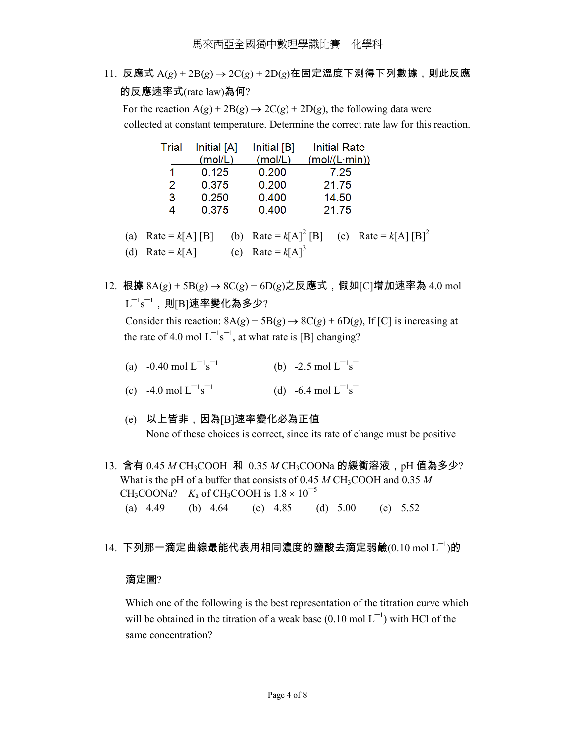11. 反應式 A(*g*) + 2B(*g*) → 2C(*g*) + 2D(*g*)在固定溫度下測得下列數據,則此反應 的反應速率式(rate law)為何?

For the reaction  $A(g) + 2B(g) \rightarrow 2C(g) + 2D(g)$ , the following data were collected at constant temperature. Determine the correct rate law for this reaction.

|     | Trial | Initial [A]<br>(mol/L) | Initial [B]<br>(mol/L) | <b>Initial Rate</b><br>(mol/(L·min))                       |  |
|-----|-------|------------------------|------------------------|------------------------------------------------------------|--|
|     |       | 0.125                  | 0.200                  | 7.25                                                       |  |
|     | 2     | 0.375                  | 0.200                  | 21.75                                                      |  |
|     | 3     | 0.250                  | 0.400                  | 14.50                                                      |  |
|     | 4     | 0.375                  | 0.400                  | 21.75                                                      |  |
| (a) |       | $Rate = k[A][B]$       |                        | (b) Rate = $k[A]^2$ [B] (c) Rate = $k[A]$ [B] <sup>2</sup> |  |

(d) Rate =  $k[A]$  (e) Rate =  $k[A]^3$ 

- 12. 根據 8A(*g*) + 5B(*g*) → 8C(*g*) + 6D(*g*)之反應式,假如[C]增加速率為 4.0 mol  $\mathsf{L}^{-1}\mathsf{s}^{-1}$ ,則[B]速率變化為多少? Consider this reaction:  $8A(g) + 5B(g) \rightarrow 8C(g) + 6D(g)$ , If [C] is increasing at the rate of 4.0 mol  $L^{-1}s^{-1}$ , at what rate is [B] changing?
	-
- (a)  $-0.40 \text{ mol L}^{-1} \text{s}^{-1}$ (b)  $-2.5 \text{ mol} L^{-1} s^{-1}$
- (c) -4.0 mol  $L^{-1}s^{-1}$ (d)  $-6.4$  mol  $L^{-1} s^{-1}$ 
	- (e) 以上皆非,因為[B]速率變化必為正值 None of these choices is correct, since its rate of change must be positive
- 13. 含有 0.45 *M* CH<sub>3</sub>COOH 和 0.35 *M* CH<sub>3</sub>COONa 的緩衝溶液, pH 值為多少? What is the pH of a buffer that consists of 0.45 *M* CH<sub>3</sub>COOH and 0.35 *M* CH<sub>3</sub>COONa? *K*<sub>a</sub> of CH<sub>3</sub>COOH is  $1.8 \times 10^{-5}$ (a) 4.49 (b) 4.64 (c) 4.85 (d) 5.00 (e) 5.52
- $14.$  下列那一滴定曲線最能代表用相同濃度的鹽酸去滴定弱鹼 $(0.10 \text{ mol L}^{-1})$ 的

## 滴定圖?

 Which one of the following is the best representation of the titration curve which will be obtained in the titration of a weak base  $(0.10 \text{ mol L}^{-1})$  with HCl of the same concentration?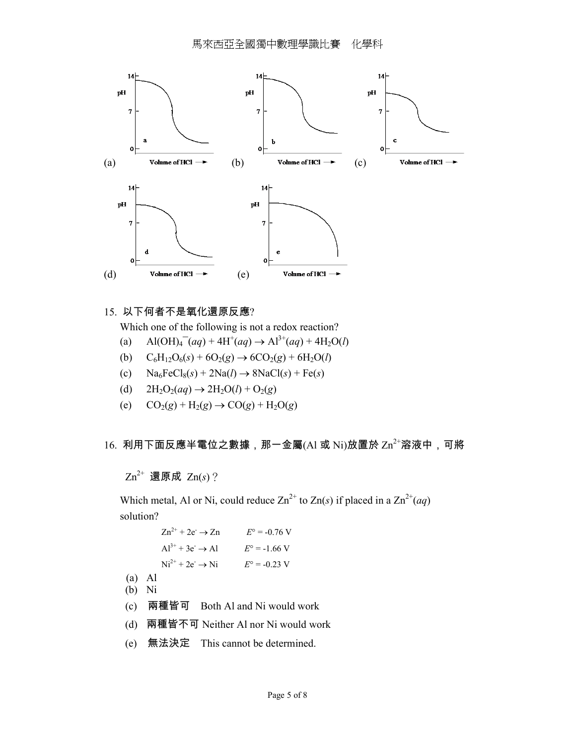

## 15. 以下何者不是氧化還原反應?

Which one of the following is not a redox reaction?

- (a)  $\text{Al(OH)}_4^-(aq) + 4\text{H}^+(aq) \rightarrow \text{Al}^{3+}(aq) + 4\text{H}_2\text{O}(l)$ 
	- (b)  $C_6H_{12}O_6(s) + 6O_2(g) \rightarrow 6CO_2(g) + 6H_2O(l)$
	- (c)  $\text{Na}_6\text{FeCl}_8(s) + 2\text{Na}(l) \rightarrow 8\text{NaCl}(s) + \text{Fe}(s)$
	- (d)  $2H_2O_2(aq) \to 2H_2O(l) + O_2(g)$
	- (e)  $CO_2(g) + H_2(g) \to CO(g) + H_2O(g)$

# 16. 利用下面反應半電位之數據,那一金屬(Al 或 Ni)放置於  $\text{Zn}^{2+}$ 溶液中,可將

Zn2+ 還原成 Zn(*s*)?

Which metal, Al or Ni, could reduce  $\text{Zn}^{2+}$  to  $\text{Zn}(s)$  if placed in a  $\text{Zn}^{2+}(aq)$ solution?

> $Zn^{2+} + 2e^- \rightarrow Zn$   $E^{\circ} = -0.76$  V  $Al^{3+} + 3e^- \rightarrow Al$   $E^{\circ} = -1.66$  V  $Ni^{2+} + 2e^- \rightarrow Ni$  *E*° = -0.23 V

- (a) Al
- (b) Ni
- (c) 兩種皆可 Both Al and Ni would work
- (d) 兩種皆不可 Neither Al nor Ni would work
- (e) 無法決定 This cannot be determined.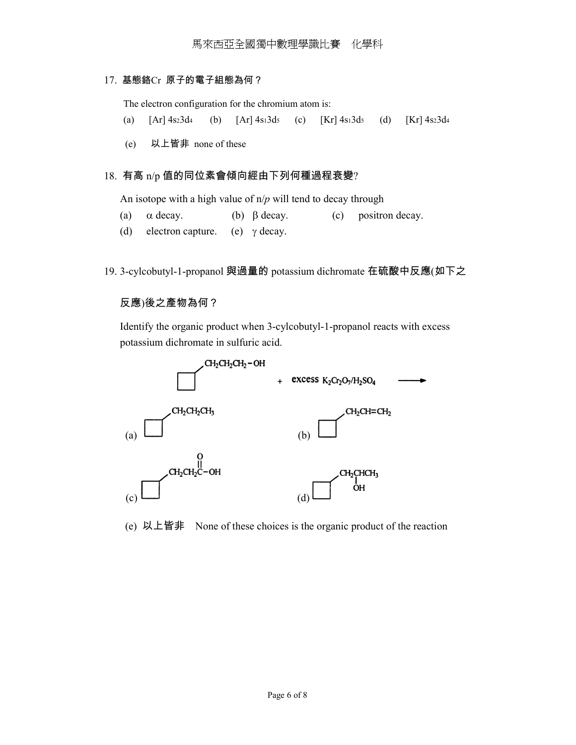## 17. 基態鉻Cr 原子的電子組態為何?

The electron configuration for the chromium atom is:

- (a)  $[Ar] 4s23d4$  (b)  $[Ar] 4s13d5$  (c)  $[Kr] 4s13d5$  (d)  $[Kr] 4s23d4$
- (e) 以上皆非 none of these

## 18. 有高 n/p 值的同位素會傾向經由下列何種過程衰變?

An isotope with a high value of n/*p* will tend to decay through

- (a)  $\alpha$  decay. (b)  $\beta$  decay. (c) positron decay.
- (d) electron capture. (e)  $\gamma$  decay.
- 19. 3-cylcobutyl-1-propanol 與過量的 potassium dichromate 在硫酸中反應(如下之

#### 反應)後之產物為何?

 Identify the organic product when 3-cylcobutyl-1-propanol reacts with excess potassium dichromate in sulfuric acid.



(e) 以上皆非 None of these choices is the organic product of the reaction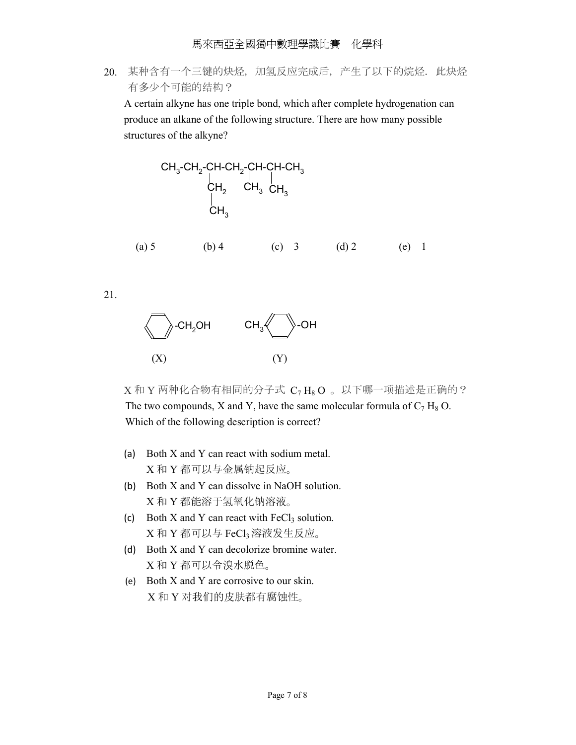20. 某种含有一个三键的炔烃, 加氢反应完成后, 产生了以下的烷烃. 此炔烃 有多少个可能的结构?

 A certain alkyne has one triple bond, which after complete hydrogenation can produce an alkane of the following structure. There are how many possible structures of the alkyne?

CH<sub>3</sub>-CH<sub>2</sub>-CH-CH<sub>2</sub>-CH-CH-CH<sub>3</sub>  
\nCH<sub>2</sub> CH<sub>3</sub> CH<sub>3</sub>  
\nCH<sub>3</sub> CH<sub>3</sub>  
\nCH<sub>3</sub>  
\n
$$
CH_3
$$
  
\n $CH_3$   
\n $CH_3$   
\n $CH_3$   
\n $CH_3$   
\n $CH_3$   
\n $CH_3$   
\n $CH_3$   
\n $CH_3$   
\n $CH_3$   
\n $CH_3$   
\n $CH_3$   
\n $CH_3$   
\n $CH_3$   
\n $CH_3$   
\n $CH_3$   
\n $CH_3$   
\n $CH_3$   
\n $CH_3$   
\n $CH_3$   
\n $CH_3$   
\n $CH_3$   
\n $CH_3$   
\n $CH_3$   
\n $CH_3$   
\n $CH_3$   
\n $CH_3$   
\n $CH_3$   
\n $CH_3$   
\n $CH_3$   
\n $CH_3$   
\n $CH_3$   
\n $CH_3$   
\n $CH_3$   
\n $CH_3$   
\n $CH_3$   
\n $CH_3$   
\n $CH_3$   
\n $CH_3$   
\n $CH_3$   
\n $CH_3$   
\n $CH_3$ 

21.



 $X$ 和 Y 两种化合物有相同的分子式  $C_7$  H<sub>8</sub>O 。以下哪一项描述是正确的? The two compounds, X and Y, have the same molecular formula of  $C_7 H_8 O$ . Which of the following description is correct?

- (a) Both X and Y can react with sodium metal. X 和 Y 都可以与金属钠起反应。
- (b) Both X and Y can dissolve in NaOH solution. X 和 Y 都能溶于氢氧化钠溶液。
- (c) Both X and Y can react with  $FeCl<sub>3</sub>$  solution. X 和 Y 都可以与 FeCl3溶液发生反应。
- (d) Both X and Y can decolorize bromine water. X 和 Y 都可以令溴水脱色。
- (e) Both X and Y are corrosive to our skin. X 和 Y 对我们的皮肤都有腐蚀性。